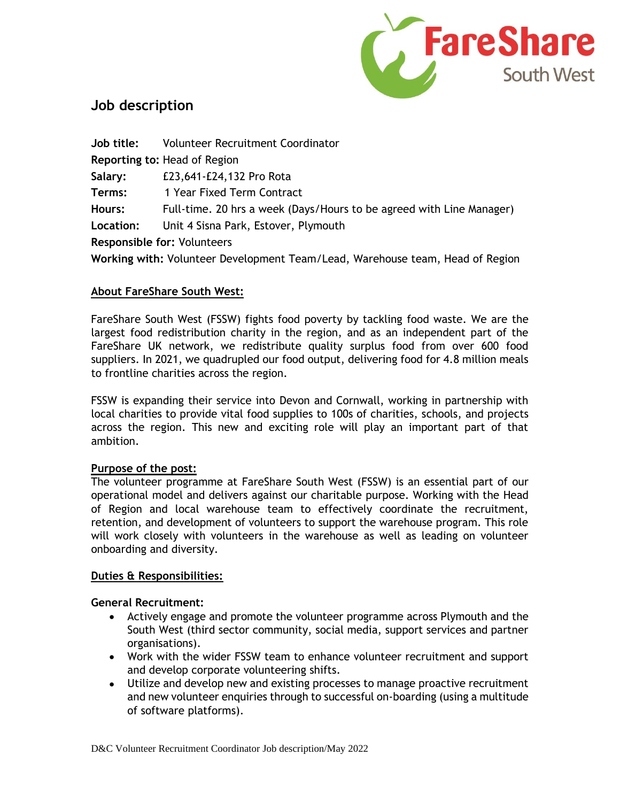

# **Job description**

| Job title:                                                                    | <b>Volunteer Recruitment Coordinator</b>                             |  |
|-------------------------------------------------------------------------------|----------------------------------------------------------------------|--|
| <b>Reporting to: Head of Region</b>                                           |                                                                      |  |
| Salary:                                                                       | £23,641-£24,132 Pro Rota                                             |  |
| Terms:                                                                        | 1 Year Fixed Term Contract                                           |  |
| Hours:                                                                        | Full-time. 20 hrs a week (Days/Hours to be agreed with Line Manager) |  |
| Location:                                                                     | Unit 4 Sisna Park, Estover, Plymouth                                 |  |
| <b>Responsible for: Volunteers</b>                                            |                                                                      |  |
| Working with: Volunteer Development Team/Lead, Warehouse team, Head of Region |                                                                      |  |

#### **About FareShare South West:**

FareShare South West (FSSW) fights food poverty by tackling food waste. We are the largest food redistribution charity in the region, and as an independent part of the FareShare UK network, we redistribute quality surplus food from over 600 food suppliers. In 2021, we quadrupled our food output, delivering food for 4.8 million meals to frontline charities across the region.

FSSW is expanding their service into Devon and Cornwall, working in partnership with local charities to provide vital food supplies to 100s of charities, schools, and projects across the region. This new and exciting role will play an important part of that ambition.

#### **Purpose of the post:**

The volunteer programme at FareShare South West (FSSW) is an essential part of our operational model and delivers against our charitable purpose. Working with the Head of Region and local warehouse team to effectively coordinate the recruitment, retention, and development of volunteers to support the warehouse program. This role will work closely with volunteers in the warehouse as well as leading on volunteer onboarding and diversity.

#### **Duties & Responsibilities:**

#### **General Recruitment:**

- Actively engage and promote the volunteer programme across Plymouth and the South West (third sector community, social media, support services and partner organisations).
- Work with the wider FSSW team to enhance volunteer recruitment and support and develop corporate volunteering shifts.
- Utilize and develop new and existing processes to manage proactive recruitment and new volunteer enquiries through to successful on-boarding (using a multitude of software platforms).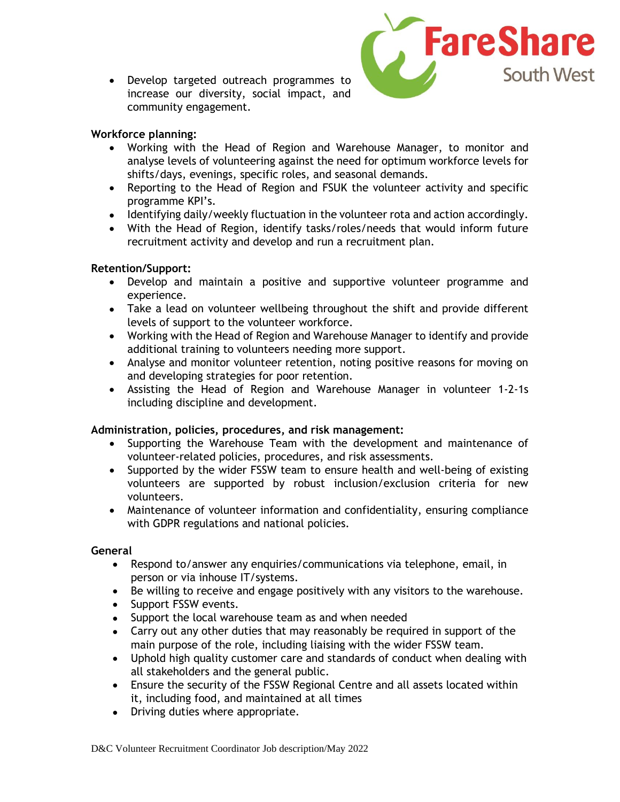• Develop targeted outreach programmes to increase our diversity, social impact, and community engagement.



#### **Workforce planning:**

- Working with the Head of Region and Warehouse Manager, to monitor and analyse levels of volunteering against the need for optimum workforce levels for shifts/days, evenings, specific roles, and seasonal demands.
- Reporting to the Head of Region and FSUK the volunteer activity and specific programme KPI's.
- Identifying daily/weekly fluctuation in the volunteer rota and action accordingly.
- With the Head of Region, identify tasks/roles/needs that would inform future recruitment activity and develop and run a recruitment plan.

#### **Retention/Support:**

- Develop and maintain a positive and supportive volunteer programme and experience.
- Take a lead on volunteer wellbeing throughout the shift and provide different levels of support to the volunteer workforce.
- Working with the Head of Region and Warehouse Manager to identify and provide additional training to volunteers needing more support.
- Analyse and monitor volunteer retention, noting positive reasons for moving on and developing strategies for poor retention.
- Assisting the Head of Region and Warehouse Manager in volunteer 1-2-1s including discipline and development.

### **Administration, policies, procedures, and risk management:**

- Supporting the Warehouse Team with the development and maintenance of volunteer-related policies, procedures, and risk assessments.
- Supported by the wider FSSW team to ensure health and well-being of existing volunteers are supported by robust inclusion/exclusion criteria for new volunteers.
- Maintenance of volunteer information and confidentiality, ensuring compliance with GDPR regulations and national policies.

#### **General**

- Respond to/answer any enquiries/communications via telephone, email, in person or via inhouse IT/systems.
- Be willing to receive and engage positively with any visitors to the warehouse.
- Support FSSW events.
- Support the local warehouse team as and when needed
- Carry out any other duties that may reasonably be required in support of the main purpose of the role, including liaising with the wider FSSW team.
- Uphold high quality customer care and standards of conduct when dealing with all stakeholders and the general public.
- Ensure the security of the FSSW Regional Centre and all assets located within it, including food, and maintained at all times
- Driving duties where appropriate.